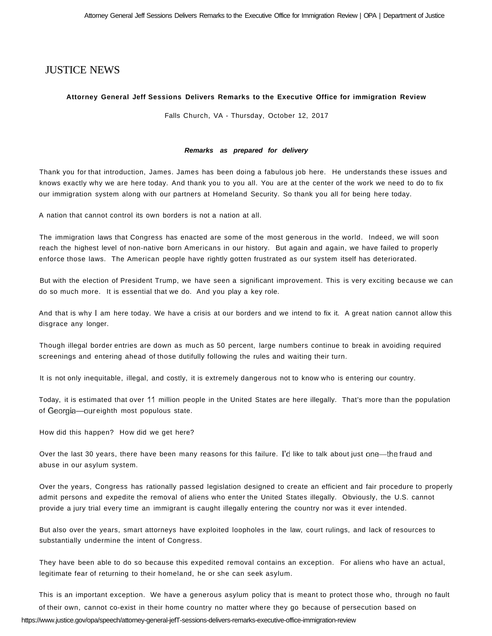## JUSTICE NEWS

## **Attorney General Jeff Sessions Delivers Remarks to the Executive Office for immigration Review**

Falls Church, VA - Thursday, October 12, 2017

## **Remarks as prepared for delivery**

Thank you for that introduction, James. James has been doing a fabulous job here. He understands these issues and knows exactly why we are here today. And thank you to you all. You are at the center of the work we need to do to fix our immigration system along with our partners at Homeland Security. So thank you all for being here today.

A nation that cannot control its own borders is not a nation at all.

The immigration laws that Congress has enacted are some of the most generous in the world. Indeed, we will soon reach the highest level of non-native born Americans in our history. But again and again, we have failed to properly enforce those laws. The American people have rightly gotten frustrated as our system itself has deteriorated.

But with the election of President Trump, we have seen a significant improvement. This is very exciting because we can do so much more. It is essential that we do. And you play a key role.

And that is why I am here today. We have a crisis at our borders and we intend to fix it. A great nation cannot allow this disgrace any longer.

Though illegal border entries are down as much as 50 percent, large numbers continue to break in avoiding required screenings and entering ahead of those dutifully following the rules and waiting their turn.

It is not only inequitable, illegal, and costly, it is extremely dangerous not to know who is entering our country.

Today, it is estimated that over 11 million people in the United States are here illegally. That's more than the population of Georgia—our eighth most populous state.

How did this happen? How did we get here?

Over the last 30 years, there have been many reasons for this failure. I'd like to talk about just one—the fraud and abuse in our asylum system.

Over the years, Congress has rationally passed legislation designed to create an efficient and fair procedure to properly admit persons and expedite the removal of aliens who enter the United States illegally. Obviously, the U.S. cannot provide a jury trial every time an immigrant is caught illegally entering the country nor was it ever intended.

But also over the years, smart attorneys have exploited loopholes in the law, court rulings, and lack of resources to substantially undermine the intent of Congress.

They have been able to do so because this expedited removal contains an exception. For aliens who have an actual, legitimate fear of returning to their homeland, he or she can seek asylum.

This is an important exception. We have a generous asylum policy that is meant to protect those who, through no fault of their own, cannot co-exist in their home country no matter where they go because of persecution based on <https://www.justice.gov/opa/speech/attorney-general-jefT-sessions-delivers-remarks-executive-office-immigration-review>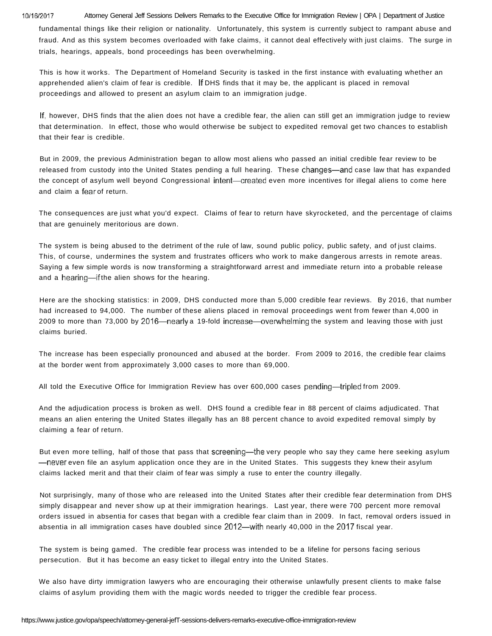10/16/2017 Attorney General Jeff Sessions Delivers Remarks to the Executive Office for Immigration Review | OPA | Department of Justice

fundamental things like their religion or nationality. Unfortunately, this system is currently subject to rampant abuse and fraud. And as this system becomes overloaded with fake claims, it cannot deal effectively with just claims. The surge in trials, hearings, appeals, bond proceedings has been overwhelming.

This is how it works. The Department of Homeland Security is tasked in the first instance with evaluating whether an apprehended alien's claim of fear is credible. If DHS finds that it may be, the applicant is placed in removal proceedings and allowed to present an asylum claim to an immigration judge.

If, however, DHS finds that the alien does not have a credible fear, the alien can still get an immigration judge to review that determination. In effect, those who would otherwise be subject to expedited removal get two chances to establish that their fear is credible.

But in 2009, the previous Administration began to allow most aliens who passed an initial credible fear review to be released from custody into the United States pending a full hearing. These changes—and case law that has expanded the concept of asylum well beyond Congressional intent—created even more incentives for illegal aliens to come here and claim a fear of return.

The consequences are just what you'd expect. Claims of fear to return have skyrocketed, and the percentage of claims that are genuinely meritorious are down.

The system is being abused to the detriment of the rule of law, sound public policy, public safety, and of just claims. This, of course, undermines the system and frustrates officers who work to make dangerous arrests in remote areas. Saying a few simple words is now transforming a straightforward arrest and immediate return into a probable release and a hearing—if the alien shows for the hearing.

Here are the shocking statistics: in 2009, DHS conducted more than 5,000 credible fear reviews. By 2016, that number had increased to 94,000. The number of these aliens placed in removal proceedings went from fewer than 4,000 in 2009 to more than 73,000 by 2016—nearly a 19-fold increase—overwhelming the system and leaving those with just claims buried.

The increase has been especially pronounced and abused at the border. From 2009 to 2016, the credible fear claims at the border went from approximately 3,000 cases to more than 69,000.

All told the Executive Office for Immigration Review has over 600,000 cases pending—tripled from 2009.

And the adjudication process is broken as well. DHS found a credible fear in 88 percent of claims adjudicated. That means an alien entering the United States illegally has an 88 percent chance to avoid expedited removal simply by claiming a fear of return.

But even more telling, half of those that pass that screening—the very people who say they came here seeking asylum —never even file an asylum application once they are in the United States. This suggests they knew their asylum claims lacked merit and that their claim of fear was simply a ruse to enter the country illegally.

Not surprisingly, many of those who are released into the United States after their credible fear determination from DHS simply disappear and never show up at their immigration hearings. Last year, there were 700 percent more removal orders issued in absentia for cases that began with a credible fear claim than in 2009. In fact, removal orders issued in absentia in all immigration cases have doubled since 2012—with nearly 40,000 in the 2017 fiscal year.

The system is being gamed. The credible fear process was intended to be a lifeline for persons facing serious persecution. But it has become an easy ticket to illegal entry into the United States.

We also have dirty immigration lawyers who are encouraging their otherwise unlawfully present clients to make false claims of asylum providing them with the magic words needed to trigger the credible fear process.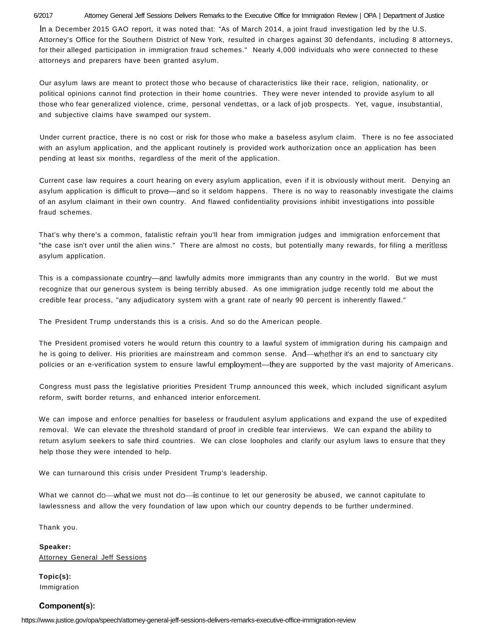6/2017 Attorney General Jeff Sessions Delivers Remarks to the Executive Office for Immigration Review | OPA | Department of Justice In a December 2015 GAO report, it was noted that: "As of March 2014, a joint fraud investigation led by the U.S. Attorney's Office for the Southern District of New York, resulted in charges against 30 defendants, including 8 attorneys, for their alleged participation in immigration fraud schemes." Nearly 4,000 individuals who were connected to these attorneys and preparers have been granted asylum.

Our asylum laws are meant to protect those who because of characteristics like their race, religion, nationality, or political opinions cannot find protection in their home countries. They were never intended to provide asylum to all those who fear generalized violence, crime, personal vendettas, or a lack of job prospects. Yet, vague, insubstantial, and subjective claims have swamped our system.

Under current practice, there is no cost or risk for those who make a baseless asylum claim. There is no fee associated with an asylum application, and the applicant routinely is provided work authorization once an application has been pending at least six months, regardless of the merit of the application.

Current case law requires a court hearing on every asylum application, even if it is obviously without merit. Denying an asylum application is difficult to prove—and so it seldom happens. There is no way to reasonably investigate the claims of an asylum claimant in their own country. And flawed confidentiality provisions inhibit investigations into possible fraud schemes.

That's why there's a common, fatalistic refrain you'll hear from immigration judges and immigration enforcement that "the case isn't over until the alien wins." There are almost no costs, but potentially many rewards, for filing a meritless asylum application.

This is a compassionate country—and lawfully admits more immigrants than any country in the world. But we must recognize that our generous system is being terribly abused. As one immigration judge recently told me about the credible fear process, "any adjudicatory system with a grant rate of nearly 90 percent is inherently flawed."

The President Trump understands this is a crisis. And so do the American people.

The President promised voters he would return this country to a lawful system of immigration during his campaign and he is going to deliver. His priorities are mainstream and common sense. And—whether it's an end to sanctuary city policies or an e-verification system to ensure lawful employment—they are supported by the vast majority of Americans.

Congress must pass the legislative priorities President Trump announced this week, which included significant asylum reform, swift border returns, and enhanced interior enforcement.

We can impose and enforce penalties for baseless or fraudulent asylum applications and expand the use of expedited removal. We can elevate the threshold standard of proof in credible fear interviews. We can expand the ability to return asylum seekers to safe third countries. We can close loopholes and clarify our asylum laws to ensure that they help those they were intended to help.

We can turnaround this crisis under President Trump's leadership.

What we cannot do—what we must not do—is continue to let our generosity be abused, we cannot capitulate to lawlessness and allow the very foundation of law upon which our country depends to be further undermined.

Thank you.

**Speaker:**  Attorney General Jeff Sessions

**Topic(s):**  Immigration

## **Components):**

<https://www.justice.gov/opa/speech/attorney-general-jeff-sessions-delivers-remarks-executive-office-immigration-review>